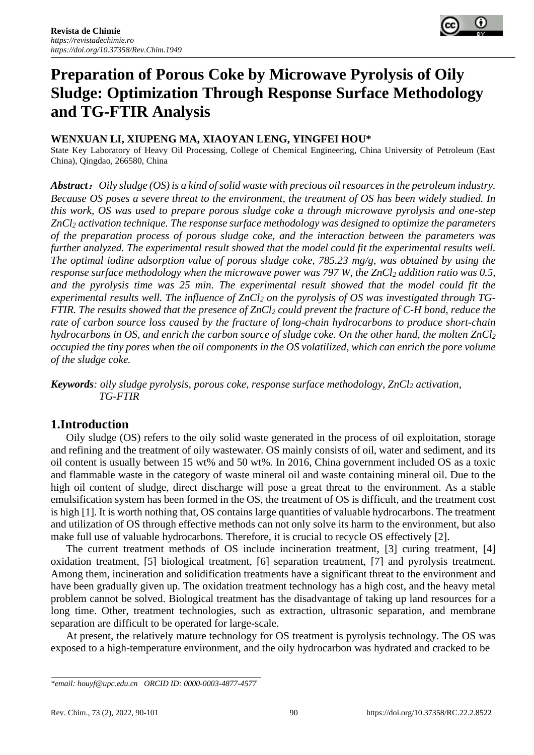

# **Preparation of Porous Coke by Microwave Pyrolysis of Oily Sludge: Optimization Through Response Surface Methodology and TG-FTIR Analysis**

#### **WENXUAN LI, XIUPENG MA, XIAOYAN LENG, YINGFEI HOU\***

State Key Laboratory of Heavy Oil Processing, College of Chemical Engineering, China University of Petroleum (East China), Qingdao, 266580, China

*Abstract*:*Oily sludge (OS) is a kind of solid waste with precious oil resources in the petroleum industry. Because OS poses a severe threat to the environment, the treatment of OS has been widely studied. In this work, OS was used to prepare porous sludge coke a through microwave pyrolysis and one-step ZnCl<sup>2</sup> activation technique. The response surface methodology was designed to optimize the parameters of the preparation process of porous sludge coke, and the interaction between the parameters was further analyzed. The experimental result showed that the model could fit the experimental results well. The optimal iodine adsorption value of porous sludge coke, 785.23 mg/g, was obtained by using the response surface methodology when the microwave power was 797 W, the ZnCl<sup>2</sup> addition ratio was 0.5, and the pyrolysis time was 25 min. The experimental result showed that the model could fit the experimental results well. The influence of ZnCl<sup>2</sup> on the pyrolysis of OS was investigated through TG-FTIR. The results showed that the presence of ZnCl<sup>2</sup> could prevent the fracture of C-H bond, reduce the rate of carbon source loss caused by the fracture of long-chain hydrocarbons to produce short-chain hydrocarbons in OS, and enrich the carbon source of sludge coke. On the other hand, the molten ZnCl<sup>2</sup> occupied the tiny pores when the oil components in the OS volatilized, which can enrich the pore volume of the sludge coke.*

*Keywords: oily sludge pyrolysis, porous coke, response surface methodology, ZnCl<sup>2</sup> activation, TG-FTIR*

# **1.Introduction**

Oily sludge (OS) refers to the oily solid waste generated in the process of oil exploitation, storage and refining and the treatment of oily wastewater. OS mainly consists of oil, water and sediment, and its oil content is usually between 15 wt% and 50 wt%. In 2016, China government included OS as a toxic and flammable waste in the category of waste mineral oil and waste containing mineral oil. Due to the high oil content of sludge, direct discharge will pose a great threat to the environment. As a stable emulsification system has been formed in the OS, the treatment of OS is difficult, and the treatment cost is high [1]. It is worth nothing that, OS contains large quantities of valuable hydrocarbons. The treatment and utilization of OS through effective methods can not only solve its harm to the environment, but also make full use of valuable hydrocarbons. Therefore, it is crucial to recycle OS effectively [2].

The current treatment methods of OS include incineration treatment, [3] curing treatment, [4] oxidation treatment, [5] biological treatment, [6] separation treatment, [7] and pyrolysis treatment. Among them, incineration and solidification treatments have a significant threat to the environment and have been gradually given up. The oxidation treatment technology has a high cost, and the heavy metal problem cannot be solved. Biological treatment has the disadvantage of taking up land resources for a long time. Other, treatment technologies, such as extraction, ultrasonic separation, and membrane separation are difficult to be operated for large-scale.

At present, the relatively mature technology for OS treatment is pyrolysis technology. The OS was exposed to a high-temperature environment, and the oily hydrocarbon was hydrated and cracked to be

*<sup>\*</sup>email[: houyf@upc.edu.cn](mailto:houyf@upc.edu.cn) ORCID ID: 0000-0003-4877-4577*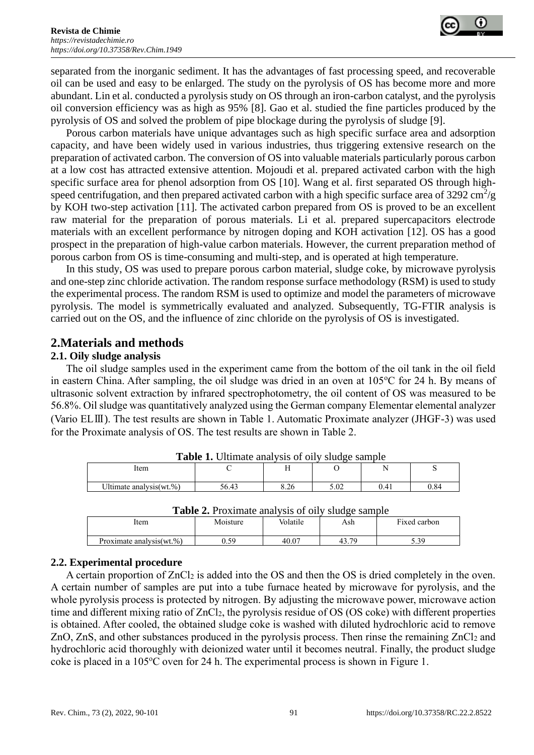

separated from the inorganic sediment. It has the advantages of fast processing speed, and recoverable oil can be used and easy to be enlarged. The study on the pyrolysis of OS has become more and more abundant. Lin et al. conducted a pyrolysis study on OS through an iron-carbon catalyst, and the pyrolysis oil conversion efficiency was as high as 95% [8]. Gao et al. studied the fine particles produced by the pyrolysis of OS and solved the problem of pipe blockage during the pyrolysis of sludge [9].

Porous carbon materials have unique advantages such as high specific surface area and adsorption capacity, and have been widely used in various industries, thus triggering extensive research on the preparation of activated carbon. The conversion of OS into valuable materials particularly porous carbon at a low cost has attracted extensive attention. Mojoudi et al. prepared activated carbon with the high specific surface area for phenol adsorption from OS [10]. Wang et al. first separated OS through highspeed centrifugation, and then prepared activated carbon with a high specific surface area of 3292 cm<sup>2</sup>/g by KOH two-step activation [11]. The activated carbon prepared from OS is proved to be an excellent raw material for the preparation of porous materials. Li et al. prepared supercapacitors electrode materials with an excellent performance by nitrogen doping and KOH activation [12]. OS has a good prospect in the preparation of high-value carbon materials. However, the current preparation method of porous carbon from OS is time-consuming and multi-step, and is operated at high temperature.

In this study, OS was used to prepare porous carbon material, sludge coke, by microwave pyrolysis and one-step zinc chloride activation. The random response surface methodology (RSM) is used to study the experimental process. The random RSM is used to optimize and model the parameters of microwave pyrolysis. The model is symmetrically evaluated and analyzed. Subsequently, TG-FTIR analysis is carried out on the OS, and the influence of zinc chloride on the pyrolysis of OS is investigated.

## **2.Materials and methods**

#### **2.1. Oily sludge analysis**

The oil sludge samples used in the experiment came from the bottom of the oil tank in the oil field in eastern China. After sampling, the oil sludge was dried in an oven at  $105^{\circ}$ C for 24 h. By means of ultrasonic solvent extraction by infrared spectrophotometry, the oil content of OS was measured to be 56.8%. Oil sludge was quantitatively analyzed using the German company Elementar elemental analyzer (Vario ELⅢ). The test results are shown in Table 1. Automatic Proximate analyzer (JHGF-3) was used for the Proximate analysis of OS. The test results are shown in Table 2.

| <b>Table 1.</b> Ultimate analysis of oily sludge sample |       |      |      |      |      |  |
|---------------------------------------------------------|-------|------|------|------|------|--|
| Item                                                    |       |      |      |      |      |  |
|                                                         |       |      |      |      |      |  |
| Ultimate analysis (wt.%)                                | 56.43 | 8.26 | 5.02 | 0.41 | 0.84 |  |

| 100111                |           | $\mathbf{r}$   | ີ                      | . .  | ້   |
|-----------------------|-----------|----------------|------------------------|------|-----|
| timate analysis(wt.%) | $\Lambda$ | $\sim$<br>0.4C | $\epsilon$ 0.2<br>J.VZ | 0.41 | .84 |
|                       |           |                |                        |      |     |

| <b>Table 2.</b> Froximate analysis of only studge sample |          |          |       |              |  |  |  |
|----------------------------------------------------------|----------|----------|-------|--------------|--|--|--|
| Item                                                     | Moisture | Volatile | Ash   | Fixed carbon |  |  |  |
| Proximate analysis (wt.%)                                | .59      | 40.07    | 43.79 | 5.39         |  |  |  |

**Table 2.** Proximate analysis of oily sludge sample

#### **2.2. Experimental procedure**

A certain proportion of ZnCl<sub>2</sub> is added into the OS and then the OS is dried completely in the oven. A certain number of samples are put into a tube furnace heated by microwave for pyrolysis, and the whole pyrolysis process is protected by nitrogen. By adjusting the microwave power, microwave action time and different mixing ratio of  $ZnCl<sub>2</sub>$ , the pyrolysis residue of OS (OS coke) with different properties is obtained. After cooled, the obtained sludge coke is washed with diluted hydrochloric acid to remove ZnO, ZnS, and other substances produced in the pyrolysis process. Then rinse the remaining ZnCl<sub>2</sub> and hydrochloric acid thoroughly with deionized water until it becomes neutral. Finally, the product sludge coke is placed in a  $105^{\circ}$ C oven for 24 h. The experimental process is shown in Figure 1.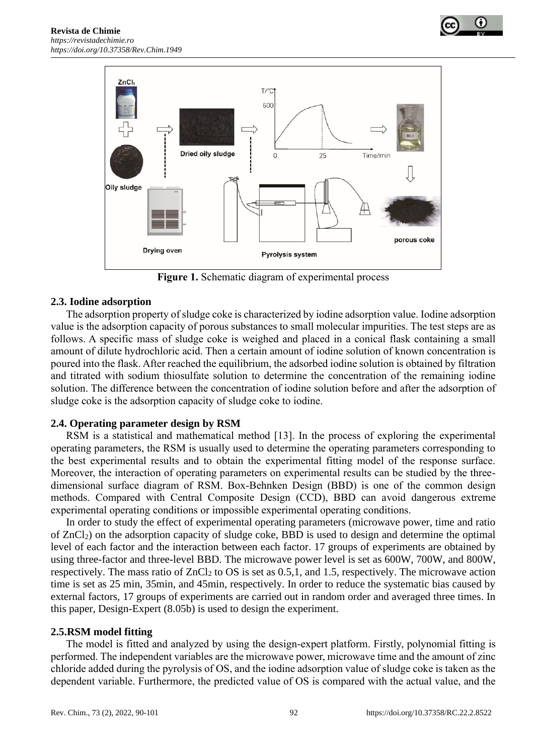





**Figure 1.** Schematic diagram of experimental process

#### **2.3. Iodine adsorption**

The adsorption property of sludge coke is characterized by iodine adsorption value. Iodine adsorption value is the adsorption capacity of porous substances to small molecular impurities. The test steps are as follows. A specific mass of sludge coke is weighed and placed in a conical flask containing a small amount of dilute hydrochloric acid. Then a certain amount of iodine solution of known concentration is poured into the flask. After reached the equilibrium, the adsorbed iodine solution is obtained by filtration and titrated with sodium thiosulfate solution to determine the concentration of the remaining iodine solution. The difference between the concentration of iodine solution before and after the adsorption of sludge coke is the adsorption capacity of sludge coke to iodine.

#### **2.4. Operating parameter design by RSM**

RSM is a statistical and mathematical method [13]. In the process of exploring the experimental operating parameters, the RSM is usually used to determine the operating parameters corresponding to the best experimental results and to obtain the experimental fitting model of the response surface. Moreover, the interaction of operating parameters on experimental results can be studied by the threedimensional surface diagram of RSM. Box-Behnken Design (BBD) is one of the common design methods. Compared with Central Composite Design (CCD), BBD can avoid dangerous extreme experimental operating conditions or impossible experimental operating conditions.

In order to study the effect of experimental operating parameters (microwave power, time and ratio of ZnCl2) on the adsorption capacity of sludge coke, BBD is used to design and determine the optimal level of each factor and the interaction between each factor. 17 groups of experiments are obtained by using three-factor and three-level BBD. The microwave power level is set as 600W, 700W, and 800W, respectively. The mass ratio of  $ZnCl_2$  to OS is set as 0.5,1, and 1.5, respectively. The microwave action time is set as 25 min, 35min, and 45min, respectively. In order to reduce the systematic bias caused by external factors, 17 groups of experiments are carried out in random order and averaged three times. In this paper, Design-Expert (8.05b) is used to design the experiment.

#### **2.5.RSM model fitting**

The model is fitted and analyzed by using the design-expert platform. Firstly, polynomial fitting is performed. The independent variables are the microwave power, microwave time and the amount of zinc chloride added during the pyrolysis of OS, and the iodine adsorption value of sludge coke is taken as the dependent variable. Furthermore, the predicted value of OS is compared with the actual value, and the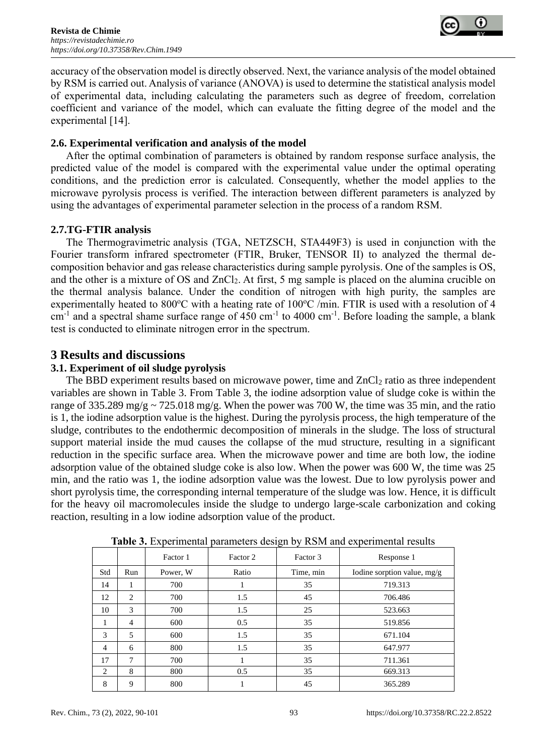

accuracy of the observation model is directly observed. Next, the variance analysis of the model obtained by RSM is carried out. Analysis of variance (ANOVA) is used to determine the statistical analysis model of experimental data, including calculating the parameters such as degree of freedom, correlation coefficient and variance of the model, which can evaluate the fitting degree of the model and the experimental [14].

#### **2.6. Experimental verification and analysis of the model**

After the optimal combination of parameters is obtained by random response surface analysis, the predicted value of the model is compared with the experimental value under the optimal operating conditions, and the prediction error is calculated. Consequently, whether the model applies to the microwave pyrolysis process is verified. The interaction between different parameters is analyzed by using the advantages of experimental parameter selection in the process of a random RSM.

#### **2.7.TG-FTIR analysis**

The [Thermogravimetric](javascript:;) [analysis](javascript:;) (TGA, NETZSCH, STA449F3) is used in conjunction with the Fourier transform infrared spectrometer (FTIR, Bruker, TENSOR II) to analyzed the thermal decomposition behavior and gas release characteristics during sample pyrolysis. One of the samples is OS, and the other is a mixture of OS and ZnCl2. At first, 5 mg sample is placed on the alumina crucible on the thermal analysis balance. Under the condition of nitrogen with high purity, the samples are experimentally heated to 800 $^{\circ}$ C with a heating rate of 100 $^{\circ}$ C /min. FTIR is used with a resolution of 4 cm<sup>-1</sup> and a spectral shame surface range of 450 cm<sup>-1</sup> to 4000 cm<sup>-1</sup>. Before loading the sample, a blank test is conducted to eliminate nitrogen error in the spectrum.

# **3 Results and discussions**

## **3.1. Experiment of oil sludge pyrolysis**

The BBD experiment results based on microwave power, time and  $ZnCl<sub>2</sub>$  ratio as three independent variables are shown in Table 3. From Table 3, the iodine adsorption value of sludge coke is within the range of 335.289 mg/g  $\sim$  725.018 mg/g. When the power was 700 W, the time was 35 min, and the ratio is 1, the iodine adsorption value is the highest. During the pyrolysis process, the high temperature of the sludge, contributes to the endothermic decomposition of minerals in the sludge. The loss of structural support material inside the mud causes the collapse of the mud structure, resulting in a significant reduction in the specific surface area. When the microwave power and time are both low, the iodine adsorption value of the obtained sludge coke is also low. When the power was 600 W, the time was 25 min, and the ratio was 1, the iodine adsorption value was the lowest. Due to low pyrolysis power and short pyrolysis time, the corresponding internal temperature of the sludge was low. Hence, it is difficult for the heavy oil macromolecules inside the sludge to undergo large-scale carbonization and coking reaction, resulting in a low iodine adsorption value of the product.

|                |                | Factor 1 | Factor 2 | Factor 3  | Response 1                  |
|----------------|----------------|----------|----------|-----------|-----------------------------|
| Std            | Run            | Power, W | Ratio    | Time, min | Iodine sorption value, mg/g |
| 14             | 1              | 700      |          | 35        | 719.313                     |
| 12             | 2              | 700      | 1.5      | 45        | 706.486                     |
| 10             | 3              | 700      | 1.5      | 25        | 523.663                     |
| 1              | $\overline{4}$ | 600      | 0.5      | 35        | 519.856                     |
| 3              | 5              | 600      | 1.5      | 35        | 671.104                     |
| $\overline{4}$ | 6              | 800      | 1.5      | 35        | 647.977                     |
| 17             | 7              | 700      |          | 35        | 711.361                     |
| 2              | 8              | 800      | 0.5      | 35        | 669.313                     |
| 8              | 9              | 800      |          | 45        | 365.289                     |

**Table 3.** Experimental parameters design by RSM and experimental results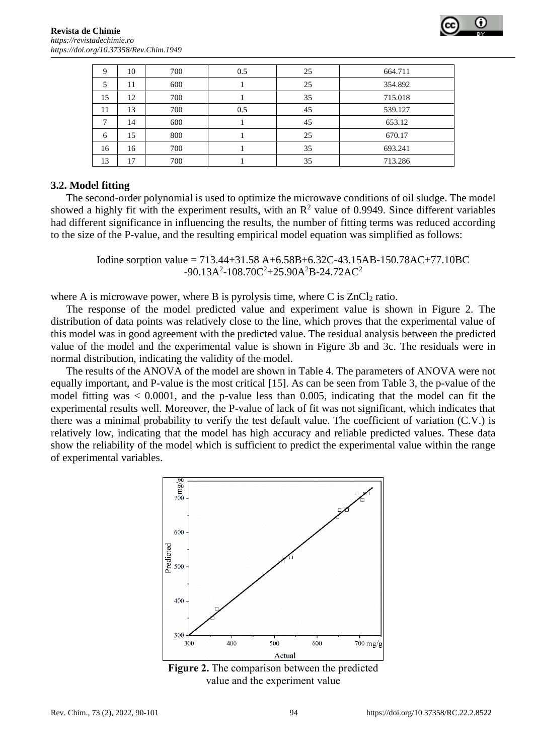

| 9  | 10 | 700 | 0.5 | 25 | 664.711 |
|----|----|-----|-----|----|---------|
| 5  | 11 | 600 |     | 25 | 354.892 |
| 15 | 12 | 700 |     | 35 | 715.018 |
| 11 | 13 | 700 | 0.5 | 45 | 539.127 |
| ⇁  | 14 | 600 |     | 45 | 653.12  |
| 6  | 15 | 800 |     | 25 | 670.17  |
| 16 | 16 | 700 |     | 35 | 693.241 |
| 13 | 17 | 700 |     | 35 | 713.286 |

#### **3.2. Model fitting**

The second-order polynomial is used to optimize the microwave conditions of oil sludge. The model showed a highly fit with the experiment results, with an  $\mathbb{R}^2$  value of 0.9949. Since different variables had different significance in influencing the results, the number of fitting terms was reduced according to the size of the P-value, and the resulting empirical model equation was simplified as follows:

> Iodine sorption value = 713.44+31.58 A+6.58B+6.32C-43.15AB-150.78AC+77.10BC  $-90.13A^2 - 108.70C^2 + 25.90A^2B - 24.72AC^2$

where A is microwave power, where B is pyrolysis time, where C is  $ZnCl<sub>2</sub>$  ratio.

The response of the model predicted value and experiment value is shown in Figure 2. The distribution of data points was relatively close to the line, which proves that the experimental value of this model was in good agreement with the predicted value. The residual analysis between the predicted value of the model and the experimental value is shown in Figure 3b and 3c. The residuals were in normal distribution, indicating the validity of the model.

The results of the ANOVA of the model are shown in Table 4. The parameters of ANOVA were not equally important, and P-value is the most critical [15]. As can be seen from Table 3, the p-value of the model fitting was < 0.0001, and the p-value less than 0.005, indicating that the model can fit the experimental results well. Moreover, the P-value of lack of fit was not significant, which indicates that there was a minimal probability to verify the test default value. The coefficient of variation (C.V.) is relatively low, indicating that the model has high accuracy and reliable predicted values. These data show the reliability of the model which is sufficient to predict the experimental value within the range of experimental variables.



**Figure 2.** The comparison between the predicted value and the experiment value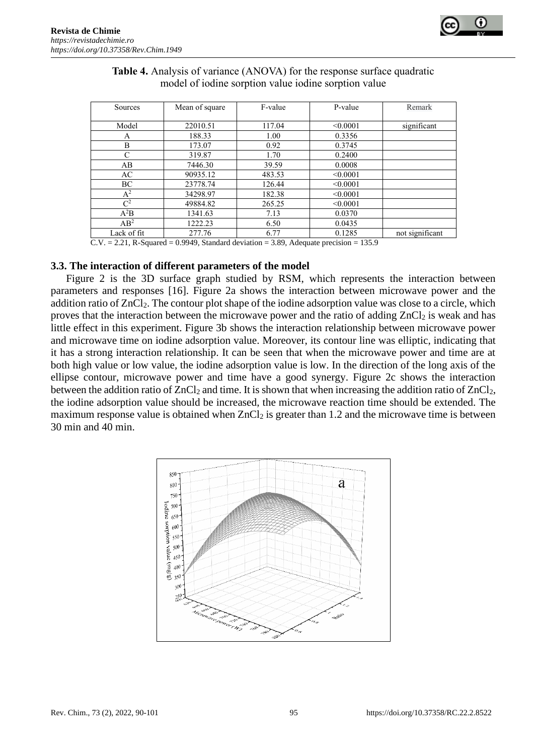

| Sources        | Mean of square | F-value | P-value  | Remark          |
|----------------|----------------|---------|----------|-----------------|
| Model          | 22010.51       | 117.04  | < 0.0001 | significant     |
|                |                |         |          |                 |
| Α              | 188.33         | 1.00    | 0.3356   |                 |
| B              | 173.07         | 0.92    | 0.3745   |                 |
| C              | 319.87         | 1.70    | 0.2400   |                 |
| AB             | 7446.30        | 39.59   | 0.0008   |                 |
| AC.            | 90935.12       | 483.53  | < 0.0001 |                 |
| BC             | 23778.74       | 126.44  | < 0.0001 |                 |
| $A^2$          | 34298.97       | 182.38  | < 0.0001 |                 |
| $\mathbb{C}^2$ | 49884.82       | 265.25  | < 0.0001 |                 |
| $A^2B$         | 1341.63        | 7.13    | 0.0370   |                 |
| $AB^2$         | 1222.23        | 6.50    | 0.0435   |                 |
| Lack of fit    | 277.76         | 6.77    | 0.1285   | not significant |

#### **Table 4.** Analysis of variance (ANOVA) for the response surface quadratic model of iodine sorption value iodine sorption value

 $\overline{C.V.}$  = 2.21, R-Squared = 0.9949, Standard deviation = 3.89, Adequate precision = 135.9

#### **3.3. The interaction of different parameters of the model**

Figure 2 is the 3D surface graph studied by RSM, which represents the interaction between parameters and responses [16]. Figure 2a shows the interaction between microwave power and the addition ratio of ZnCl<sub>2</sub>. The contour plot shape of the iodine adsorption value was close to a circle, which proves that the interaction between the microwave power and the ratio of adding  $ZnCl_2$  is weak and has little effect in this experiment. Figure 3b shows the interaction relationship between microwave power and microwave time on iodine adsorption value. Moreover, its contour line was elliptic, indicating that it has a strong interaction relationship. It can be seen that when the microwave power and time are at both high value or low value, the iodine adsorption value is low. In the direction of the long axis of the ellipse contour, microwave power and time have a good synergy. Figure 2c shows the interaction between the addition ratio of  $ZnCl<sub>2</sub>$  and time. It is shown that when increasing the addition ratio of  $ZnCl<sub>2</sub>$ , the iodine adsorption value should be increased, the microwave reaction time should be extended. The maximum response value is obtained when  $ZnCl_2$  is greater than 1.2 and the microwave time is between 30 min and 40 min.

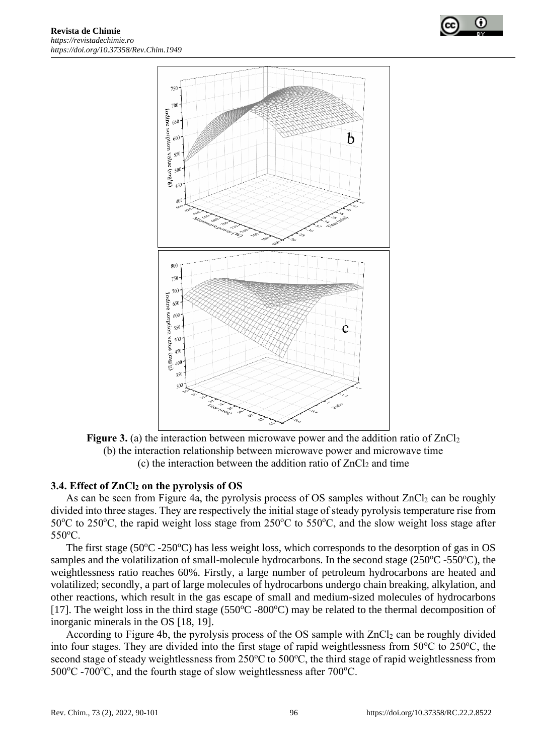



**Figure 3.** (a) the interaction between microwave power and the addition ratio of ZnCl<sub>2</sub> (b) the interaction relationship between microwave power and microwave time (c) the interaction between the addition ratio of  $ZnCl<sub>2</sub>$  and time

#### **3.4. Effect of ZnCl<sup>2</sup> on the pyrolysis of OS**

As can be seen from Figure 4a, the pyrolysis process of OS samples without  $ZnCl<sub>2</sub>$  can be roughly divided into three stages. They are respectively the initial stage of steady pyrolysis temperature rise from 50°C to 250°C, the rapid weight loss stage from 250°C to 550°C, and the slow weight loss stage after 550°C.

The first stage (50 $^{\circ}$ C -250 $^{\circ}$ C) has less weight loss, which corresponds to the desorption of gas in OS samples and the volatilization of small-molecule hydrocarbons. In the second stage  $(250^{\circ}C - 550^{\circ}C)$ , the weightlessness ratio reaches 60%. Firstly, a large number of petroleum hydrocarbons are heated and volatilized; secondly, a part of large molecules of hydrocarbons undergo chain breaking, alkylation, and other reactions, which result in the gas escape of small and medium-sized molecules of hydrocarbons [17]. The weight loss in the third stage ( $550^{\circ}$ C -800 $^{\circ}$ C) may be related to the thermal decomposition of inorganic minerals in the OS [18, 19].

According to Figure 4b, the pyrolysis process of the OS sample with ZnCl<sub>2</sub> can be roughly divided into four stages. They are divided into the first stage of rapid weightlessness from 50°C to 250°C, the second stage of steady weightlessness from  $250^{\circ}$ C to  $500^{\circ}$ C, the third stage of rapid weightlessness from  $500^{\circ}$ C -700 $^{\circ}$ C, and the fourth stage of slow weightlessness after 700 $^{\circ}$ C.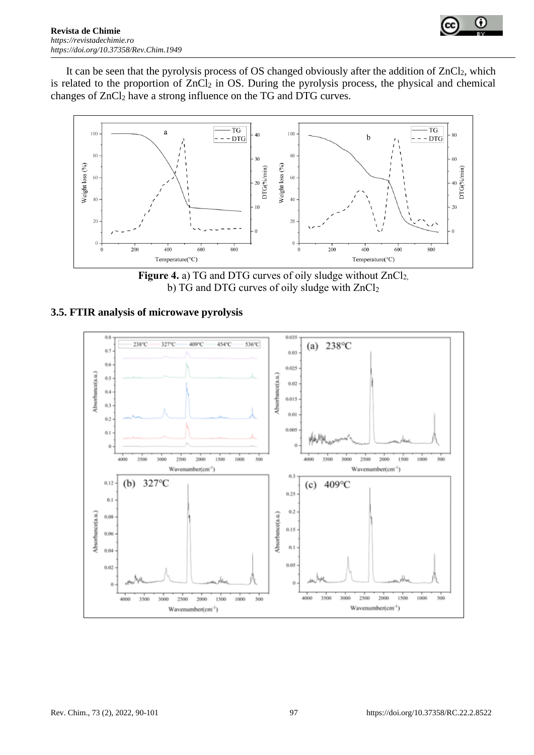



It can be seen that the pyrolysis process of OS changed obviously after the addition of ZnCl<sub>2</sub>, which is related to the proportion of  $ZnCl<sub>2</sub>$  in OS. During the pyrolysis process, the physical and chemical changes of ZnCl<sub>2</sub> have a strong influence on the TG and DTG curves.



Figure 4. a) TG and DTG curves of oily sludge without ZnCl<sub>2</sub>, b) TG and DTG curves of oily sludge with ZnCl<sub>2</sub>

## **3.5. FTIR analysis of microwave pyrolysis**

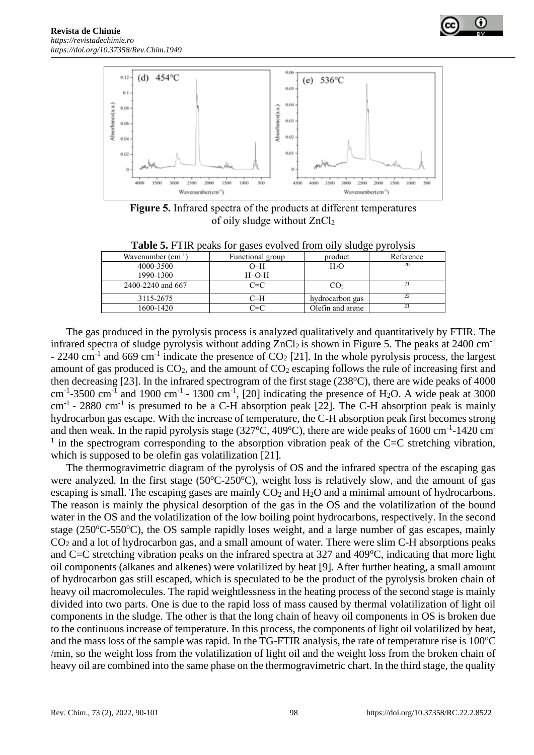



**Figure 5.** Infrared spectra of the products at different temperatures of oily sludge without ZnCl<sup>2</sup>

**Table 5.** FTIR peaks for gases evolved from oily sludge pyrolysis

| Wavenumber $(cm^{-1})$ | Functional group | product          | Reference |
|------------------------|------------------|------------------|-----------|
| 4000-3500              | $O-H$            | H2O              | 20        |
| 1990-1300              | $H-O-H$          |                  |           |
| 2400-2240 and 667      | $C = C$          | CO2              | 21        |
| 3115-2675              | C−H              | hydrocarbon gas  | 22        |
| 1600-1420              | `= $\cap$        | Olefin and arene | 21        |

The gas produced in the pyrolysis process is analyzed qualitatively and quantitatively by FTIR. The infrared spectra of sludge pyrolysis without adding  $ZnCl<sub>2</sub>$  is shown in Figure 5. The peaks at 2400 cm<sup>-1</sup> - 2240 cm<sup>-1</sup> and 669 cm<sup>-1</sup> indicate the presence of  $CO<sub>2</sub>$  [21]. In the whole pyrolysis process, the largest amount of gas produced is  $CO<sub>2</sub>$ , and the amount of  $CO<sub>2</sub>$  escaping follows the rule of increasing first and then decreasing [23]. In the infrared spectrogram of the first stage  $(238^{\circ}C)$ , there are wide peaks of 4000 cm<sup>-1</sup>-3500 cm<sup>-1</sup> and 1900 cm<sup>-1</sup> - 1300 cm<sup>-1</sup>, [20] indicating the presence of H<sub>2</sub>O. A wide peak at 3000  $cm^{-1}$  - 2880  $cm^{-1}$  is presumed to be a C-H absorption peak [22]. The C-H absorption peak is mainly hydrocarbon gas escape. With the increase of temperature, the C-H absorption peak first becomes strong and then weak. In the rapid pyrolysis stage  $(327^{\circ}C, 409^{\circ}C)$ , there are wide peaks of 1600 cm<sup>-1</sup>-1420 cm<sup>-1</sup>  $<sup>1</sup>$  in the spectrogram corresponding to the absorption vibration peak of the C=C stretching vibration,</sup> which is supposed to be olefin gas volatilization [21].

The thermogravimetric diagram of the pyrolysis of OS and the infrared spectra of the escaping gas were analyzed. In the first stage  $(50^{\circ}C-250^{\circ}C)$ , weight loss is relatively slow, and the amount of gas escaping is small. The escaping gases are mainly  $CO<sub>2</sub>$  and  $H<sub>2</sub>O$  and a minimal amount of hydrocarbons. The reason is mainly the physical desorption of the gas in the OS and the volatilization of the bound water in the OS and the volatilization of the low boiling point hydrocarbons, respectively. In the second stage ( $250^{\circ}$ C-550 $^{\circ}$ C), the OS sample rapidly loses weight, and a large number of gas escapes, mainly CO<sup>2</sup> and a lot of hydrocarbon gas, and a small amount of water. There were slim C-H absorptions peaks and C=C stretching vibration peaks on the infrared spectra at  $327$  and  $409^{\circ}$ C, indicating that more light oil components (alkanes and alkenes) were volatilized by heat [9]. After further heating, a small amount of hydrocarbon gas still escaped, which is speculated to be the product of the pyrolysis broken chain of heavy oil macromolecules. The rapid weightlessness in the heating process of the second stage is mainly divided into two parts. One is due to the rapid loss of mass caused by thermal volatilization of light oil components in the sludge. The other is that the long chain of heavy oil components in OS is broken due to the continuous increase of temperature. In this process, the components of light oil volatilized by heat, and the mass loss of the sample was rapid. In the TG-FTIR analysis, the rate of temperature rise is  $100^{\circ}$ C /min, so the weight loss from the volatilization of light oil and the weight loss from the broken chain of heavy oil are combined into the same phase on the thermogravimetric chart. In the third stage, the quality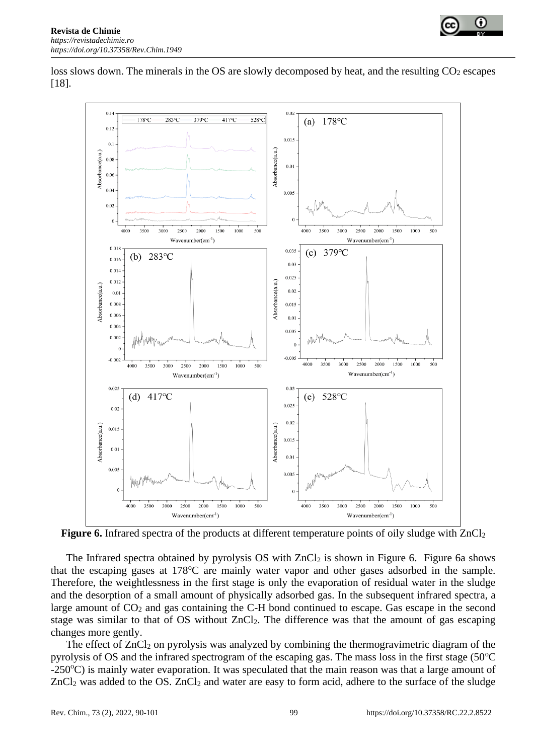



loss slows down. The minerals in the OS are slowly decomposed by heat, and the resulting CO<sub>2</sub> escapes [18].



**Figure 6.** Infrared spectra of the products at different temperature points of oily sludge with ZnCl<sub>2</sub>

The Infrared spectra obtained by pyrolysis OS with  $ZnCl<sub>2</sub>$  is shown in Figure 6. Figure 6a shows that the escaping gases at 178<sup>o</sup>C are mainly water vapor and other gases adsorbed in the sample. Therefore, the weightlessness in the first stage is only the evaporation of residual water in the sludge and the desorption of a small amount of physically adsorbed gas. In the subsequent infrared spectra, a large amount of  $CO<sub>2</sub>$  and gas containing the C-H bond continued to escape. Gas escape in the second stage was similar to that of OS without ZnCl<sub>2</sub>. The difference was that the amount of gas escaping changes more gently.

The effect of ZnCl<sub>2</sub> on pyrolysis was analyzed by combining the thermogravimetric diagram of the pyrolysis of OS and the infrared spectrogram of the escaping gas. The mass loss in the first stage  $(50^{\circ}C)$ -250°C) is mainly water evaporation. It was speculated that the main reason was that a large amount of ZnCl<sub>2</sub> was added to the OS. ZnCl<sub>2</sub> and water are easy to form acid, adhere to the surface of the sludge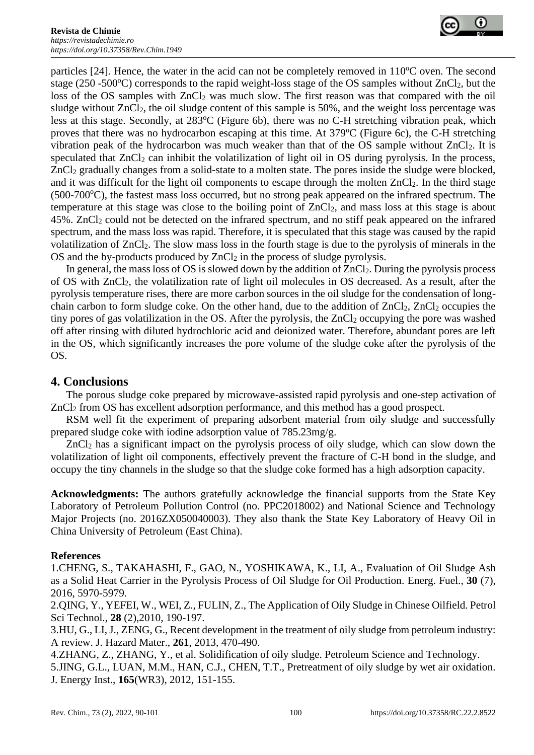

particles [24]. Hence, the water in the acid can not be completely removed in  $110^{\circ}$ C oven. The second stage (250 -500 $^{\circ}$ C) corresponds to the rapid weight-loss stage of the OS samples without ZnCl<sub>2</sub>, but the loss of the OS samples with  $ZnCl<sub>2</sub>$  was much slow. The first reason was that compared with the oil sludge without ZnCl<sub>2</sub>, the oil sludge content of this sample is 50%, and the weight loss percentage was less at this stage. Secondly, at 283°C (Figure 6b), there was no C-H stretching vibration peak, which proves that there was no hydrocarbon escaping at this time. At 379°C (Figure 6c), the C-H stretching vibration peak of the hydrocarbon was much weaker than that of the OS sample without ZnCl2. It is speculated that  $ZnCl<sub>2</sub>$  can inhibit the volatilization of light oil in OS during pyrolysis. In the process, ZnCl<sub>2</sub> gradually changes from a solid-state to a molten state. The pores inside the sludge were blocked, and it was difficult for the light oil components to escape through the molten ZnCl2. In the third stage  $(500-700\degree C)$ , the fastest mass loss occurred, but no strong peak appeared on the infrared spectrum. The temperature at this stage was close to the boiling point of ZnCl2, and mass loss at this stage is about 45%. ZnCl<sup>2</sup> could not be detected on the infrared spectrum, and no stiff peak appeared on the infrared spectrum, and the mass loss was rapid. Therefore, it is speculated that this stage was caused by the rapid volatilization of ZnCl<sub>2</sub>. The slow mass loss in the fourth stage is due to the pyrolysis of minerals in the OS and the by-products produced by  $ZnCl<sub>2</sub>$  in the process of sludge pyrolysis.

In general, the mass loss of OS is slowed down by the addition of  $ZnCl_2$ . During the pyrolysis process of OS with ZnCl2, the volatilization rate of light oil molecules in OS decreased. As a result, after the pyrolysis temperature rises, there are more carbon sources in the oil sludge for the condensation of longchain carbon to form sludge coke. On the other hand, due to the addition of  $ZnCl_2$ ,  $ZnCl_2$  occupies the tiny pores of gas volatilization in the OS. After the pyrolysis, the  $ZnCl<sub>2</sub>$  occupying the pore was washed off after rinsing with diluted hydrochloric acid and deionized water. Therefore, abundant pores are left in the OS, which significantly increases the pore volume of the sludge coke after the pyrolysis of the OS.

# **4. Conclusions**

The porous sludge coke prepared by microwave-assisted rapid pyrolysis and one-step activation of ZnCl<sub>2</sub> from OS has excellent adsorption performance, and this method has a good prospect.

RSM well fit the experiment of preparing adsorbent material from oily sludge and successfully prepared sludge coke with iodine adsorption value of 785.23mg/g.

ZnCl<sup>2</sup> has a significant impact on the pyrolysis process of oily sludge, which can slow down the volatilization of light oil components, effectively prevent the fracture of C-H bond in the sludge, and occupy the tiny channels in the sludge so that the sludge coke formed has a high adsorption capacity.

**Acknowledgments:** The authors gratefully acknowledge the financial supports from the State Key Laboratory of Petroleum Pollution Control (no. PPC2018002) and National Science and Technology Major Projects (no. 2016ZX050040003). They also thank the State Key Laboratory of Heavy Oil in China University of Petroleum (East China).

## **References**

1.CHENG, S., TAKAHASHI, F., GAO, N., YOSHIKAWA, K., LI, A., Evaluation of Oil Sludge Ash as a Solid Heat Carrier in the Pyrolysis Process of Oil Sludge for Oil Production. Energ. Fuel., **30** (7), 2016, 5970-5979.

2.QING, Y., YEFEI, W., WEI, Z., FULIN, Z., The Application of Oily Sludge in Chinese Oilfield. Petrol Sci Technol., **28** (2),2010, 190-197.

3.HU, G., LI, J., ZENG, G., Recent development in the treatment of oily sludge from petroleum industry: A review. J. Hazard Mater., **261**, 2013, 470-490.

4.ZHANG, Z., ZHANG, Y., et al. Solidification of oily sludge. Petroleum Science and Technology. 5.JING, G.L., LUAN, M.M., HAN, C.J., CHEN, T.T., Pretreatment of oily sludge by wet air oxidation. J. Energy Inst., **165**(WR3), 2012, 151-155.